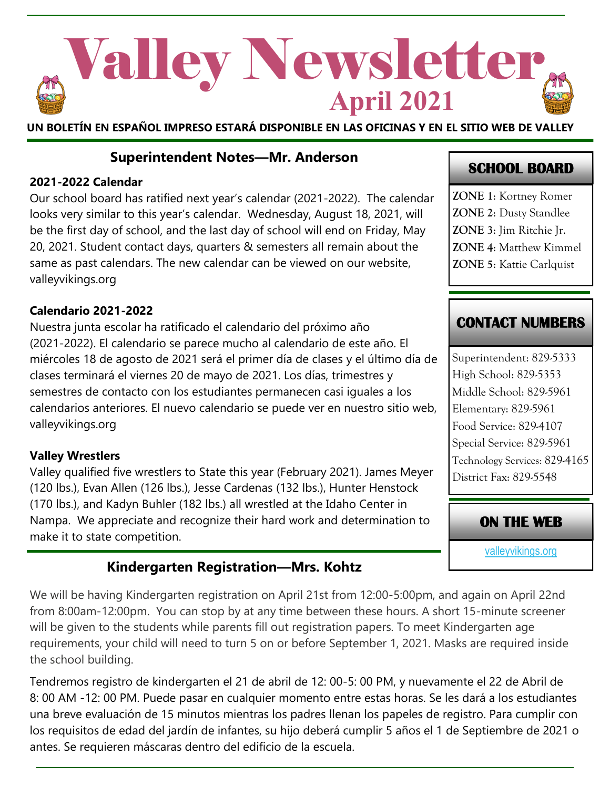

**UN BOLETÍN EN ESPAÑOL IMPRESO ESTARÁ DISPONIBLE EN LAS OFICINAS Y EN EL SITIO WEB DE VALLEY**

#### **Superintendent Notes—Mr. Anderson**

#### **2021-2022 Calendar**

Our school board has ratified next year's calendar (2021-2022). The calendar looks very similar to this year's calendar. Wednesday, August 18, 2021, will be the first day of school, and the last day of school will end on Friday, May 20, 2021. Student contact days, quarters & semesters all remain about the same as past calendars. The new calendar can be viewed on our website, valleyvikings.org

#### **Calendario 2021-2022**

Nuestra junta escolar ha ratificado el calendario del próximo año (2021-2022). El calendario se parece mucho al calendario de este año. El miércoles 18 de agosto de 2021 será el primer día de clases y el último día de clases terminará el viernes 20 de mayo de 2021. Los días, trimestres y semestres de contacto con los estudiantes permanecen casi iguales a los calendarios anteriores. El nuevo calendario se puede ver en nuestro sitio web, valleyvikings.org

#### **Valley Wrestlers**

Valley qualified five wrestlers to State this year (February 2021). James Meyer (120 lbs.), Evan Allen (126 lbs.), Jesse Cardenas (132 lbs.), Hunter Henstock (170 lbs.), and Kadyn Buhler (182 lbs.) all wrestled at the Idaho Center in Nampa. We appreciate and recognize their hard work and determination to make it to state competition.

### **Kindergarten Registration—Mrs. Kohtz**

We will be having Kindergarten registration on April 21st from 12:00-5:00pm, and again on April 22nd from 8:00am-12:00pm. You can stop by at any time between these hours. A short 15-minute screener will be given to the students while parents fill out registration papers. To meet Kindergarten age requirements, your child will need to turn 5 on or before September 1, 2021. Masks are required inside the school building.

Tendremos registro de kindergarten el 21 de abril de 12: 00-5: 00 PM, y nuevamente el 22 de Abril de 8: 00 AM -12: 00 PM. Puede pasar en cualquier momento entre estas horas. Se les dará a los estudiantes una breve evaluación de 15 minutos mientras los padres llenan los papeles de registro. Para cumplir con los requisitos de edad del jardín de infantes, su hijo deberá cumplir 5 años el 1 de Septiembre de 2021 o antes. Se requieren máscaras dentro del edificio de la escuela.

## **SCHOOL BOARD**

**ZONE 1**: Kortney Romer **ZONE 2**: Dusty Standlee **ZONE 3**: Jim Ritchie Jr. **ZONE 4**: Matthew Kimmel **ZONE 5**: Kattie Carlquist

### **CONTACT NUMBERS**

Superintendent: 829-5333 High School: 829-5353 Middle School: 829-5961 Elementary: 829-5961 Food Service: 829-4107 Special Service: 829-5961 Technology Services: 829-4165 District Fax: 829-5548

### **ON THE WEB**

[valleyvikings.org](http://www.valleyvikings.org/)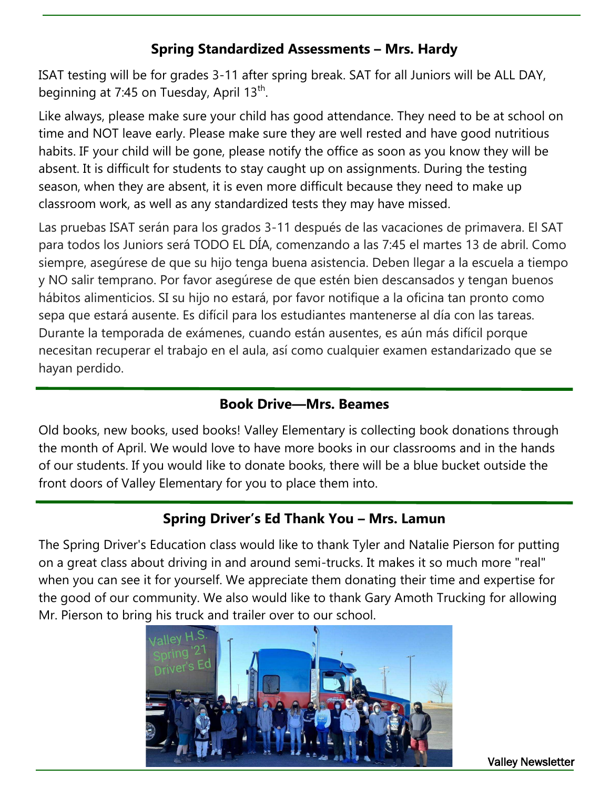## **Spring Standardized Assessments – Mrs. Hardy**

ISAT testing will be for grades 3-11 after spring break. SAT for all Juniors will be ALL DAY, beginning at 7:45 on Tuesday, April 13<sup>th</sup>.

Like always, please make sure your child has good attendance. They need to be at school on time and NOT leave early. Please make sure they are well rested and have good nutritious habits. IF your child will be gone, please notify the office as soon as you know they will be absent. It is difficult for students to stay caught up on assignments. During the testing season, when they are absent, it is even more difficult because they need to make up classroom work, as well as any standardized tests they may have missed.

Las pruebas ISAT serán para los grados 3-11 después de las vacaciones de primavera. El SAT para todos los Juniors será TODO EL DÍA, comenzando a las 7:45 el martes 13 de abril. Como siempre, asegúrese de que su hijo tenga buena asistencia. Deben llegar a la escuela a tiempo y NO salir temprano. Por favor asegúrese de que estén bien descansados y tengan buenos hábitos alimenticios. SI su hijo no estará, por favor notifique a la oficina tan pronto como sepa que estará ausente. Es difícil para los estudiantes mantenerse al día con las tareas. Durante la temporada de exámenes, cuando están ausentes, es aún más difícil porque necesitan recuperar el trabajo en el aula, así como cualquier examen estandarizado que se hayan perdido.

## **Book Drive—Mrs. Beames**

Old books, new books, used books! Valley Elementary is collecting book donations through the month of April. We would love to have more books in our classrooms and in the hands of our students. If you would like to donate books, there will be a blue bucket outside the front doors of Valley Elementary for you to place them into.

## **Spring Driver's Ed Thank You – Mrs. Lamun**

The Spring Driver's Education class would like to thank Tyler and Natalie Pierson for putting on a great class about driving in and around semi-trucks. It makes it so much more "real" when you can see it for yourself. We appreciate them donating their time and expertise for the good of our community. We also would like to thank Gary Amoth Trucking for allowing Mr. Pierson to bring his truck and trailer over to our school.



Valley Newsletter